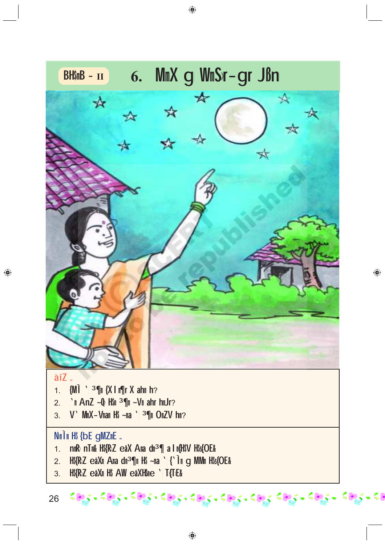

 $\bigcirc$ 

◈

 $\bigoplus$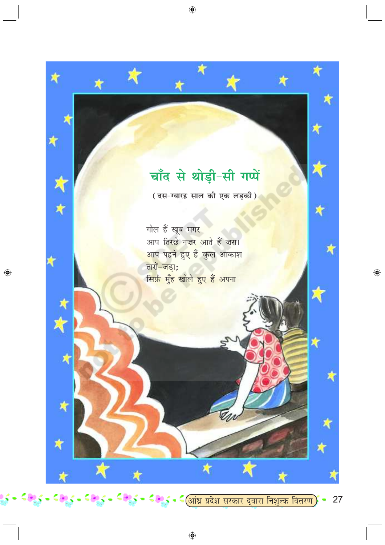

 $\bigcirc$ 

 $\bigoplus$ 

27  $\bullet$ 

 $\bigoplus$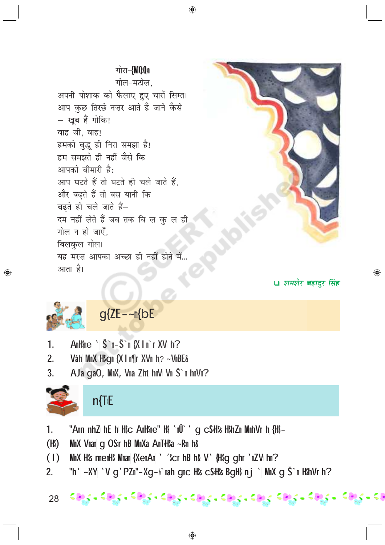## गोरा-*{M00*<sub>11</sub>

⊕





□ शमशेर बहादुर सिंह

◈



◈

## $g$ {ZE - ~  $n$ {bE

- AnH\$ne ' Š`n-Š`n {X | n`r XV h?  $1<sub>1</sub>$
- $2<sub>1</sub>$ Våh MmX H\$gm {X I m¶r XVm h? ~VmBE&
- AJa gaO, MmX, Vma Zht hmV Vm Š`m hmVm?  $3<sub>1</sub>$



## $n$ [ $E$

- $1<sub>1</sub>$ "Amn nh Z h E h Hộc AnHộne" Hộ 'nữ ' q cSHộs Hộh Zn Mnh Vr h {Hộ-
- $(H<sub>s</sub>)$ MmX Vmam g OSr hB MmXa AnTiH\$a ~Rm h&
- $(1)$ MmX H\$s nmemH\$ Mmam {XemAm `| '\$cr hB h& V' {H\$q qhr `mZV hm?
- $2<sub>1</sub>$ "h'| ~XY| 'V g 'PZ||"-Xg-}} nah g||c H\$s cSH\$s BgH\$ n j ' M||x g Š || H\$hVr h?
- $\epsilon$ agun  $\epsilon$ agun  $\epsilon$ agun  $\epsilon$ agun  $\epsilon$ agun  $\epsilon$ agun  $\epsilon$ agu $\epsilon$   $\epsilon$ agun  $\epsilon$ agu 28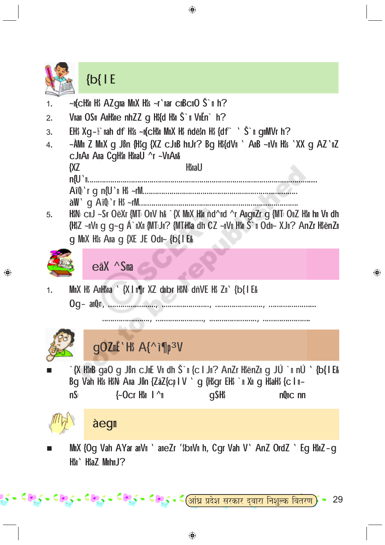

⊕

⊕

<del>- ≦ इ.</del>≶ - ≤ छ.≲ - ≤ि<u>आंध्र प्रदेश सरकार द्वारा निशुल्क वितरण</u> 29 ◈